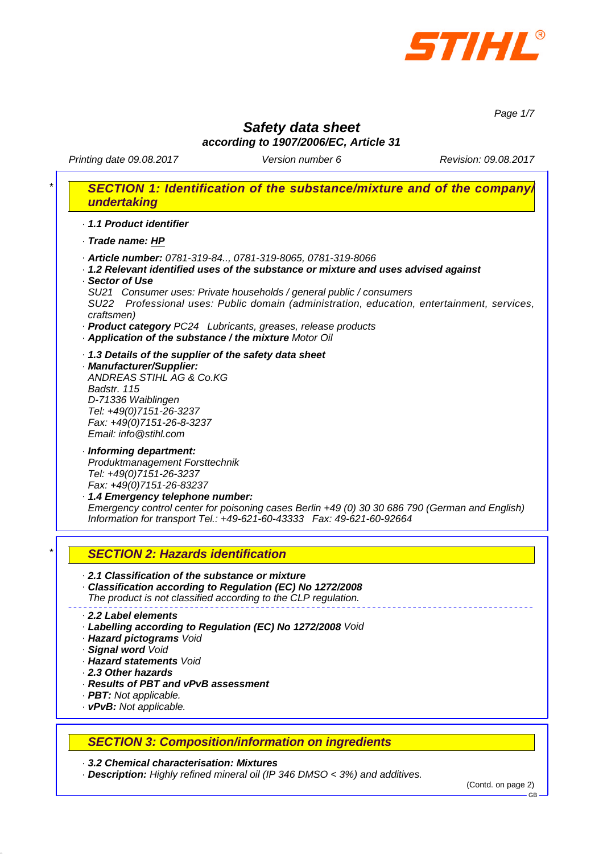

*Page 1/7*

## *Safety data sheet according to 1907/2006/EC, Article 31*

Printing date 09.08.2017 **Version number 6** Revision: 09.08.2017

# *\* SECTION 1: Identification of the substance/mixture and of the company/ undertaking*

*· 1.1 Product identifier*

*· Trade name: HP*

- *· Article number: 0781-319-84.., 0781-319-8065, 0781-319-8066*
- *· 1.2 Relevant identified uses of the substance or mixture and uses advised against · Sector of Use*
- *SU21 Consumer uses: Private households / general public / consumers SU22 Professional uses: Public domain (administration, education, entertainment, services, craftsmen)*
- *· Product category PC24 Lubricants, greases, release products*
- *· Application of the substance / the mixture Motor Oil*
- *· 1.3 Details of the supplier of the safety data sheet*
- *· Manufacturer/Supplier: ANDREAS STIHL AG & Co.KG Badstr. 115 D-71336 Waiblingen Tel: +49(0)7151-26-3237 Fax: +49(0)7151-26-8-3237 Email: info@stihl.com*
- *· Informing department: Produktmanagement Forsttechnik Tel: +49(0)7151-26-3237 Fax: +49(0)7151-26-83237*
- *· 1.4 Emergency telephone number: Emergency control center for poisoning cases Berlin +49 (0) 30 30 686 790 (German and English) Information for transport Tel.: +49-621-60-43333 Fax: 49-621-60-92664*

## *\* SECTION 2: Hazards identification*

- *· 2.1 Classification of the substance or mixture*
- *· Classification according to Regulation (EC) No 1272/2008 The product is not classified according to the CLP regulation.*

#### *· 2.2 Label elements*

- *· Labelling according to Regulation (EC) No 1272/2008 Void*
- *· Hazard pictograms Void*
- *· Signal word Void*
- *· Hazard statements Void*
- *· 2.3 Other hazards*
- *· Results of PBT and vPvB assessment*
- *· PBT: Not applicable.*
- *· vPvB: Not applicable.*

## *SECTION 3: Composition/information on ingredients*

*· 3.2 Chemical characterisation: Mixtures*

*· Description: Highly refined mineral oil (IP 346 DMSO < 3%) and additives.*

(Contd. on page 2)

GB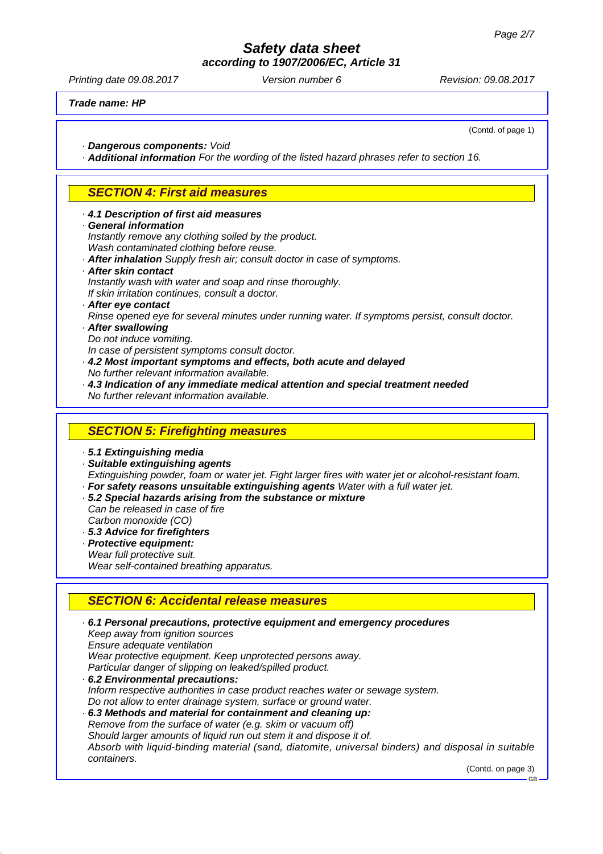*according to 1907/2006/EC, Article 31*

Printing date 09.08.2017 **Version number 6** Revision: 09.08.2017

*Trade name: HP*

(Contd. of page 1)

*· Dangerous components: Void*

*· Additional information For the wording of the listed hazard phrases refer to section 16.*

### *SECTION 4: First aid measures*

- *· 4.1 Description of first aid measures*
- *· General information*

*Instantly remove any clothing soiled by the product.*

- *Wash contaminated clothing before reuse.*
- *· After inhalation Supply fresh air; consult doctor in case of symptoms.*
- *· After skin contact*

*Instantly wash with water and soap and rinse thoroughly. If skin irritation continues, consult a doctor.*

- *· After eye contact*
- *Rinse opened eye for several minutes under running water. If symptoms persist, consult doctor. · After swallowing*
- *Do not induce vomiting.*

*In case of persistent symptoms consult doctor.*

- *· 4.2 Most important symptoms and effects, both acute and delayed No further relevant information available.*
- *· 4.3 Indication of any immediate medical attention and special treatment needed No further relevant information available.*

### *SECTION 5: Firefighting measures*

*· 5.1 Extinguishing media*

- *· Suitable extinguishing agents*
- *Extinguishing powder, foam or water jet. Fight larger fires with water jet or alcohol-resistant foam.*
- *· For safety reasons unsuitable extinguishing agents Water with a full water jet.*
- *· 5.2 Special hazards arising from the substance or mixture Can be released in case of fire Carbon monoxide (CO)*
- *· 5.3 Advice for firefighters*
- *· Protective equipment:*
- *Wear full protective suit.*

*Wear self-contained breathing apparatus.*

### *SECTION 6: Accidental release measures*

*· 6.1 Personal precautions, protective equipment and emergency procedures Keep away from ignition sources Ensure adequate ventilation Wear protective equipment. Keep unprotected persons away. Particular danger of slipping on leaked/spilled product. · 6.2 Environmental precautions: Inform respective authorities in case product reaches water or sewage system. Do not allow to enter drainage system, surface or ground water. · 6.3 Methods and material for containment and cleaning up: Remove from the surface of water (e.g. skim or vacuum off) Should larger amounts of liquid run out stem it and dispose it of. Absorb with liquid-binding material (sand, diatomite, universal binders) and disposal in suitable containers.*

(Contd. on page 3)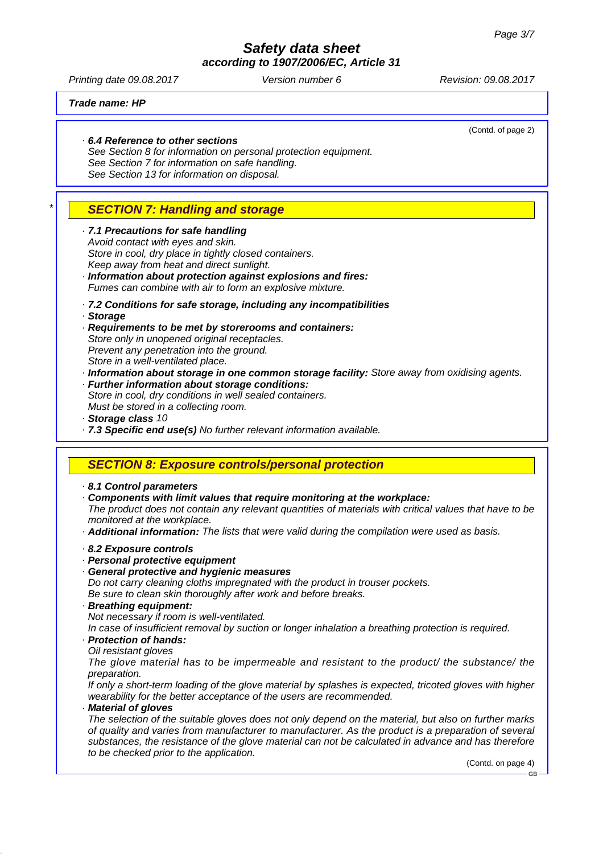*according to 1907/2006/EC, Article 31*

Printing date 09.08.2017 **Version number 6** Revision: 09.08.2017

(Contd. of page 2)

*Trade name: HP*

#### *· 6.4 Reference to other sections*

*See Section 8 for information on personal protection equipment. See Section 7 for information on safe handling. See Section 13 for information on disposal.*

## *\* SECTION 7: Handling and storage*

*· 7.1 Precautions for safe handling Avoid contact with eyes and skin. Store in cool, dry place in tightly closed containers. Keep away from heat and direct sunlight.*

- *· Information about protection against explosions and fires: Fumes can combine with air to form an explosive mixture.*
- *· 7.2 Conditions for safe storage, including any incompatibilities*
- *· Storage*
- *· Requirements to be met by storerooms and containers: Store only in unopened original receptacles. Prevent any penetration into the ground. Store in a well-ventilated place.*
- *· Information about storage in one common storage facility: Store away from oxidising agents.*
- *· Further information about storage conditions: Store in cool, dry conditions in well sealed containers. Must be stored in a collecting room.*
- *· Storage class 10*
- *· 7.3 Specific end use(s) No further relevant information available.*

#### *SECTION 8: Exposure controls/personal protection*

*· 8.1 Control parameters*

*· Components with limit values that require monitoring at the workplace:*

*The product does not contain any relevant quantities of materials with critical values that have to be monitored at the workplace.*

*· Additional information: The lists that were valid during the compilation were used as basis.*

- *· 8.2 Exposure controls*
- *· Personal protective equipment*
- *· General protective and hygienic measures*

*Do not carry cleaning cloths impregnated with the product in trouser pockets.*

- *Be sure to clean skin thoroughly after work and before breaks. · Breathing equipment:*
- *Not necessary if room is well-ventilated.*

*In case of insufficient removal by suction or longer inhalation a breathing protection is required. · Protection of hands:*

*Oil resistant gloves*

*The glove material has to be impermeable and resistant to the product/ the substance/ the preparation.*

*If only a short-term loading of the glove material by splashes is expected, tricoted gloves with higher wearability for the better acceptance of the users are recommended.*

*· Material of gloves*

*The selection of the suitable gloves does not only depend on the material, but also on further marks of quality and varies from manufacturer to manufacturer. As the product is a preparation of several substances, the resistance of the glove material can not be calculated in advance and has therefore to be checked prior to the application.*

(Contd. on page 4)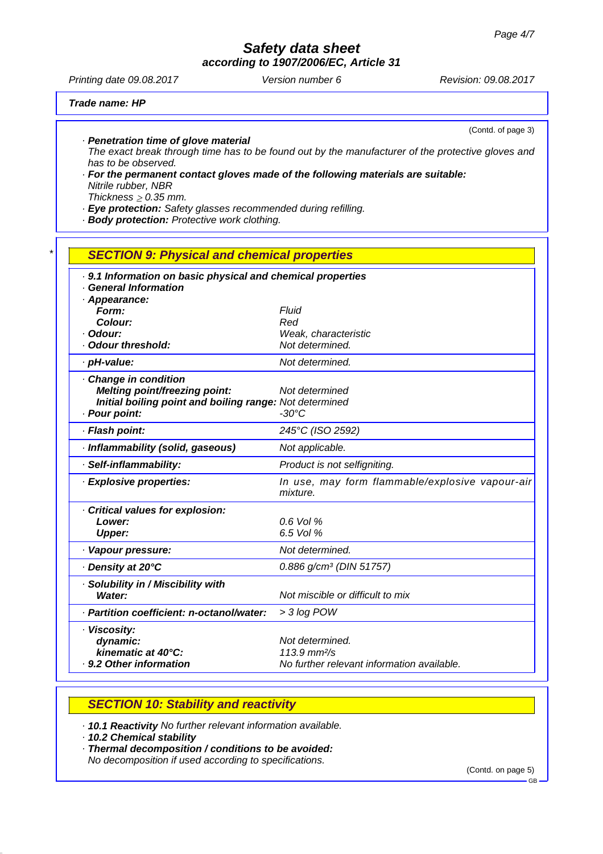*according to 1907/2006/EC, Article 31*

Printing date 09.08.2017 **Version number 6** Revision: 09.08.2017

(Contd. of page 3)

*Trade name: HP*

*· Penetration time of glove material*

*The exact break through time has to be found out by the manufacturer of the protective gloves and has to be observed.*

*· For the permanent contact gloves made of the following materials are suitable: Nitrile rubber, NBR Thickness*  $\geq 0.35$  *mm.* 

*· Eye protection: Safety glasses recommended during refilling.*

*· Body protection: Protective work clothing.*

## *\* SECTION 9: Physical and chemical properties · 9.1 Information on basic physical and chemical properties · General Information · Appearance: Form: Fluid Colour: Red · Odour: Weak, characteristic · Odour threshold: Not determined. · pH-value: Not determined. · Change in condition Melting point/freezing point: Not determined Initial boiling point and boiling range: Not determined · Pour point: -30°C · Flash point: 245°C (ISO 2592) · Inflammability (solid, gaseous) Not applicable. · Self-inflammability: Product is not selfigniting. · Explosive properties: In use, may form flammable/explosive vapour-air mixture. · Critical values for explosion: Lower: 0.6 Vol % Upper: 6.5 Vol % · Vapour pressure: Not determined. · Density at 20°C 0.886 g/cm³ (DIN 51757) · Solubility in / Miscibility with Water: Not miscible or difficult to mix · Partition coefficient: n-octanol/water: > 3 log POW · Viscosity:* dynamic: *dynamic: Not determined.*<br> *kinematic at 40°C:* 113.9 mm<sup>2</sup>/s *kinematic at 40°C:*

*SECTION 10: Stability and reactivity*

*· 10.1 Reactivity No further relevant information available.*

*· 9.2 Other information No further relevant information available.*

*· 10.2 Chemical stability*

*· Thermal decomposition / conditions to be avoided:*

*No decomposition if used according to specifications.*

(Contd. on page 5)

GB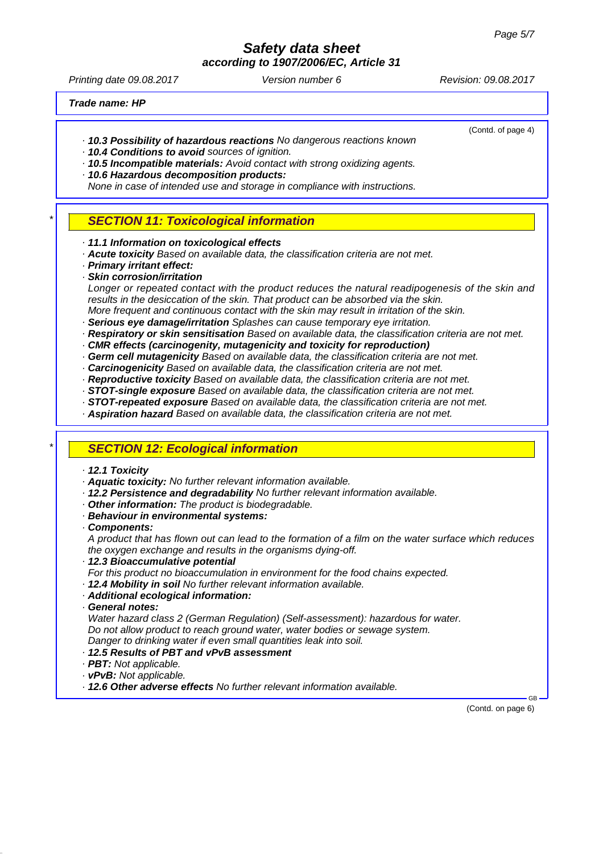*according to 1907/2006/EC, Article 31*

Printing date 09.08.2017 **Version number 6** Revision: 09.08.2017

(Contd. of page 4)

*Trade name: HP*

- *· 10.3 Possibility of hazardous reactions No dangerous reactions known*
- *· 10.4 Conditions to avoid sources of ignition.*
- *· 10.5 Incompatible materials: Avoid contact with strong oxidizing agents.*
- *· 10.6 Hazardous decomposition products:*
- *None in case of intended use and storage in compliance with instructions.*
- *\* SECTION 11: Toxicological information*
- *· 11.1 Information on toxicological effects*
- *· Acute toxicity Based on available data, the classification criteria are not met.*
- *· Primary irritant effect:*
- *· Skin corrosion/irritation*
- *Longer or repeated contact with the product reduces the natural readipogenesis of the skin and results in the desiccation of the skin. That product can be absorbed via the skin.*
- *More frequent and continuous contact with the skin may result in irritation of the skin.*
- *· Serious eye damage/irritation Splashes can cause temporary eye irritation. · Respiratory or skin sensitisation Based on available data, the classification criteria are not met.*
- *· CMR effects (carcinogenity, mutagenicity and toxicity for reproduction)*
- *· Germ cell mutagenicity Based on available data, the classification criteria are not met.*
- *· Carcinogenicity Based on available data, the classification criteria are not met.*
- *· Reproductive toxicity Based on available data, the classification criteria are not met.*
- *· STOT-single exposure Based on available data, the classification criteria are not met.*
- *· STOT-repeated exposure Based on available data, the classification criteria are not met.*
- *· Aspiration hazard Based on available data, the classification criteria are not met.*

### *\* SECTION 12: Ecological information*

- *· 12.1 Toxicity*
- *· Aquatic toxicity: No further relevant information available.*
- *· 12.2 Persistence and degradability No further relevant information available.*
- *· Other information: The product is biodegradable.*
- *· Behaviour in environmental systems:*
- *· Components:*

*A product that has flown out can lead to the formation of a film on the water surface which reduces the oxygen exchange and results in the organisms dying-off.*

- *· 12.3 Bioaccumulative potential*
- *For this product no bioaccumulation in environment for the food chains expected.*
- *· 12.4 Mobility in soil No further relevant information available.*
- *· Additional ecological information:*
- *· General notes:*

*Water hazard class 2 (German Regulation) (Self-assessment): hazardous for water. Do not allow product to reach ground water, water bodies or sewage system. Danger to drinking water if even small quantities leak into soil.*

- *· 12.5 Results of PBT and vPvB assessment*
- *· PBT: Not applicable.*
- *· vPvB: Not applicable.*

*· 12.6 Other adverse effects No further relevant information available.*

(Contd. on page 6)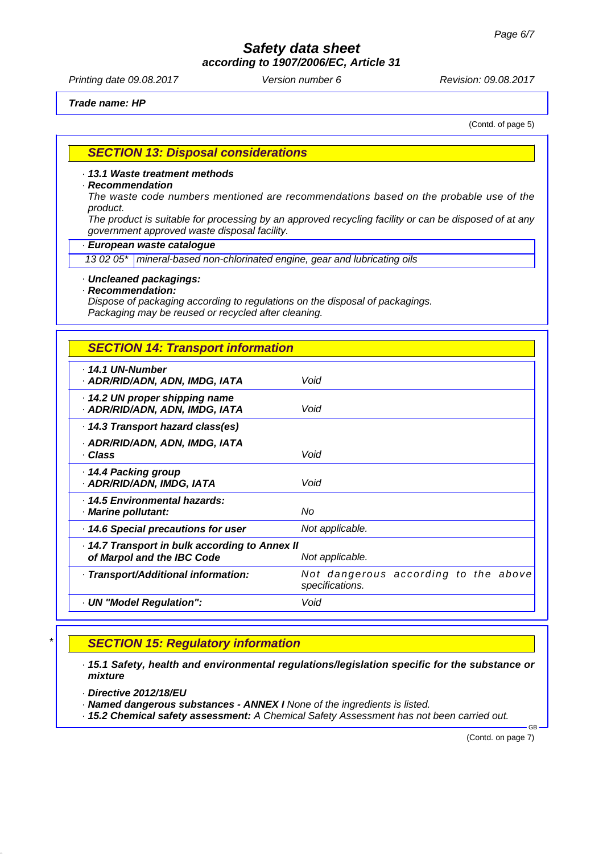*according to 1907/2006/EC, Article 31*

Printing date 09.08.2017 **Version number 6** Revision: 09.08.2017

*Trade name: HP*

(Contd. of page 5)

### *SECTION 13: Disposal considerations*

#### *· 13.1 Waste treatment methods*

#### *· Recommendation*

*The waste code numbers mentioned are recommendations based on the probable use of the product.*

*The product is suitable for processing by an approved recycling facility or can be disposed of at any government approved waste disposal facility.*

#### *· European waste catalogue*

*13 02 05\* mineral-based non-chlorinated engine, gear and lubricating oils*

### *· Uncleaned packagings:*

#### *· Recommendation:*

*Dispose of packaging according to regulations on the disposal of packagings. Packaging may be reused or recycled after cleaning.*

### *SECTION 14: Transport information*

| · 14.1 UN-Number<br>· ADR/RID/ADN, ADN, IMDG, IATA                         | Void                                                    |
|----------------------------------------------------------------------------|---------------------------------------------------------|
| 14.2 UN proper shipping name<br>· ADR/RID/ADN, ADN, IMDG, IATA             | Void                                                    |
| · 14.3 Transport hazard class(es)                                          |                                                         |
| · ADR/RID/ADN, ADN, IMDG, IATA<br>· Class                                  | Void                                                    |
| ⋅ 14.4 Packing group<br>· ADR/RID/ADN, IMDG, IATA                          | Void                                                    |
| . 14.5 Environmental hazards:<br>· Marine pollutant:                       | No                                                      |
| 14.6 Special precautions for user                                          | Not applicable.                                         |
| 14.7 Transport in bulk according to Annex II<br>of Marpol and the IBC Code | Not applicable.                                         |
| · Transport/Additional information:                                        | Not dangerous according to the above<br>specifications. |
| · UN "Model Regulation":                                                   | Void                                                    |
|                                                                            |                                                         |

## *\* SECTION 15: Regulatory information*

*· 15.1 Safety, health and environmental regulations/legislation specific for the substance or mixture*

- *· Directive 2012/18/EU*
- *· Named dangerous substances ANNEX I None of the ingredients is listed.*

*· 15.2 Chemical safety assessment: A Chemical Safety Assessment has not been carried out.*

(Contd. on page 7)